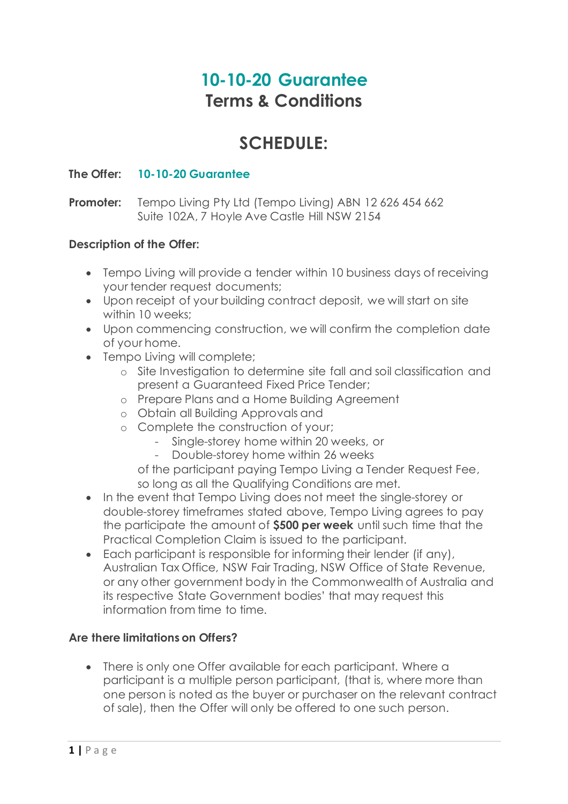# **10-10-20 Guarantee Terms & Conditions**

# **SCHEDULE:**

## **The Offer: 10-10-20 Guarantee**

### **Promoter:** Tempo Living Pty Ltd (Tempo Living) ABN 12 626 454 662 Suite 102A, 7 Hoyle Ave Castle Hill NSW 2154

### **Description of the Offer:**

- Tempo Living will provide a tender within 10 business days of receiving your tender request documents;
- Upon receipt of your building contract deposit, we will start on site within 10 weeks;
- Upon commencing construction, we will confirm the completion date of your home.
- Tempo Living will complete;
	- o Site Investigation to determine site fall and soil classification and present a Guaranteed Fixed Price Tender;
	- o Prepare Plans and a Home Building Agreement
	- o Obtain all Building Approvals and
	- o Complete the construction of your;
		- Single-storey home within 20 weeks, or
		- Double-storey home within 26 weeks
		- of the participant paying Tempo Living a Tender Request Fee, so long as all the Qualifying Conditions are met.
- In the event that Tempo Living does not meet the single-storey or double-storey timeframes stated above, Tempo Living agrees to pay the participate the amount of **\$500 per week** until such time that the Practical Completion Claim is issued to the participant.
- Each participant is responsible for informing their lender (if any), Australian Tax Office, NSW Fair Trading, NSW Office of State Revenue, or any other government body in the Commonwealth of Australia and its respective State Government bodies' that may request this information from time to time.

### **Are there limitations on Offers?**

• There is only one Offer available for each participant. Where a participant is a multiple person participant, (that is, where more than one person is noted as the buyer or purchaser on the relevant contract of sale), then the Offer will only be offered to one such person.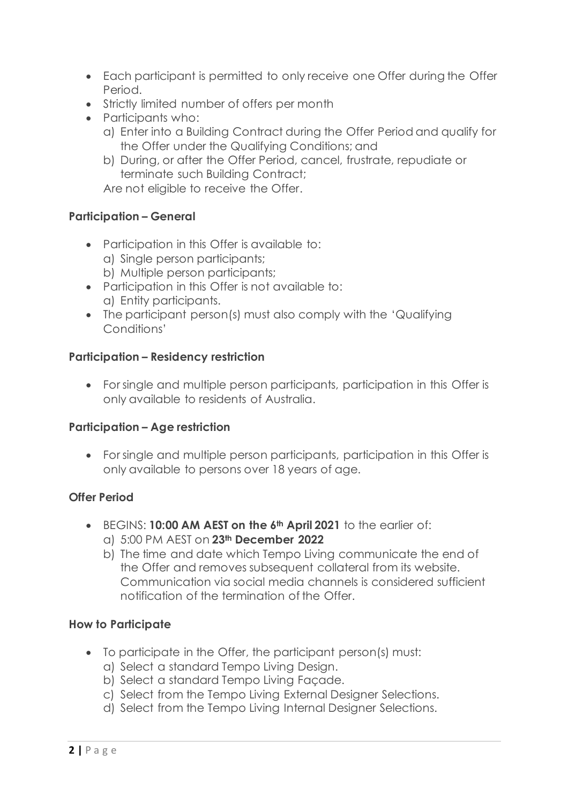- Each participant is permitted to only receive one Offer during the Offer Period.
- Strictly limited number of offers per month
- Participants who:
	- a) Enter into a Building Contract during the Offer Period and qualify for the Offer under the Qualifying Conditions; and
	- b) During, or after the Offer Period, cancel, frustrate, repudiate or terminate such Building Contract;

Are not eligible to receive the Offer.

### **Participation – General**

- Participation in this Offer is available to:
	- a) Single person participants;
	- b) Multiple person participants;
- Participation in this Offer is not available to: a) Entity participants.
- The participant person(s) must also comply with the 'Qualifying Conditions'

### **Participation – Residency restriction**

• For single and multiple person participants, participation in this Offer is only available to residents of Australia.

### **Participation – Age restriction**

• For single and multiple person participants, participation in this Offer is only available to persons over 18 years of age.

### **Offer Period**

- BEGINS: **10:00 AM AEST on the 6th April 2021** to the earlier of:
	- a) 5:00 PM AEST on **23th December 2022**
	- b) The time and date which Tempo Living communicate the end of the Offer and removes subsequent collateral from its website. Communication via social media channels is considered sufficient notification of the termination of the Offer.

### **How to Participate**

- To participate in the Offer, the participant person(s) must:
	- a) Select a standard Tempo Living Design.
	- b) Select a standard Tempo Living Façade.
	- c) Select from the Tempo Living External Designer Selections.
	- d) Select from the Tempo Living Internal Designer Selections.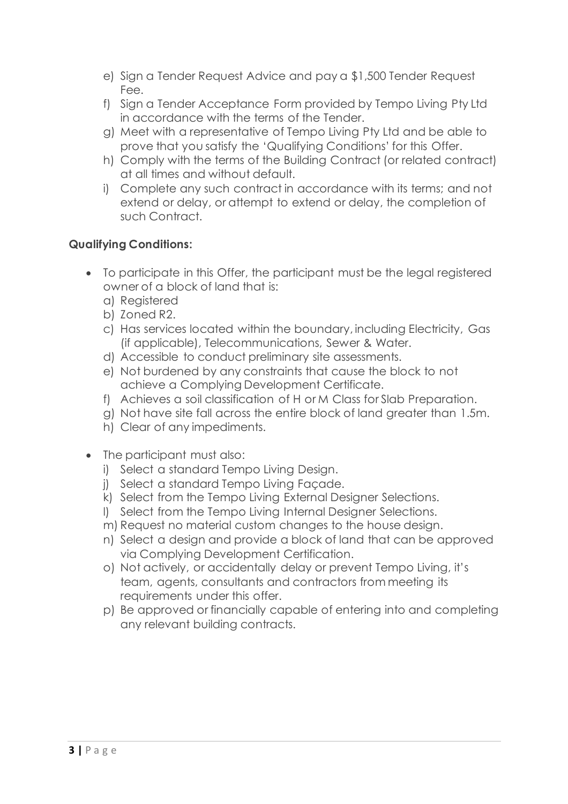- e) Sign a Tender Request Advice and pay a \$1,500 Tender Request Fee.
- f) Sign a Tender Acceptance Form provided by Tempo Living Pty Ltd in accordance with the terms of the Tender.
- g) Meet with a representative of Tempo Living Pty Ltd and be able to prove that you satisfy the 'Qualifying Conditions' for this Offer.
- h) Comply with the terms of the Building Contract (or related contract) at all times and without default.
- i) Complete any such contract in accordance with its terms; and not extend or delay, or attempt to extend or delay, the completion of such Contract.

## **Qualifying Conditions:**

- To participate in this Offer, the participant must be the legal registered owner of a block of land that is:
	- a) Registered
	- b) Zoned R2.
	- c) Has services located within the boundary, including Electricity, Gas (if applicable), Telecommunications, Sewer & Water.
	- d) Accessible to conduct preliminary site assessments.
	- e) Not burdened by any constraints that cause the block to not achieve a Complying Development Certificate.
	- f) Achieves a soil classification of H or M Class for Slab Preparation.
	- g) Not have site fall across the entire block of land greater than 1.5m.
	- h) Clear of any impediments.
- The participant must also:
	- i) Select a standard Tempo Living Design.
	- j) Select a standard Tempo Living Façade.
	- k) Select from the Tempo Living External Designer Selections.
	- l) Select from the Tempo Living Internal Designer Selections.
	- m) Request no material custom changes to the house design.
	- n) Select a design and provide a block of land that can be approved via Complying Development Certification.
	- o) Not actively, or accidentally delay or prevent Tempo Living, it's team, agents, consultants and contractors from meeting its requirements under this offer.
	- p) Be approved or financially capable of entering into and completing any relevant building contracts.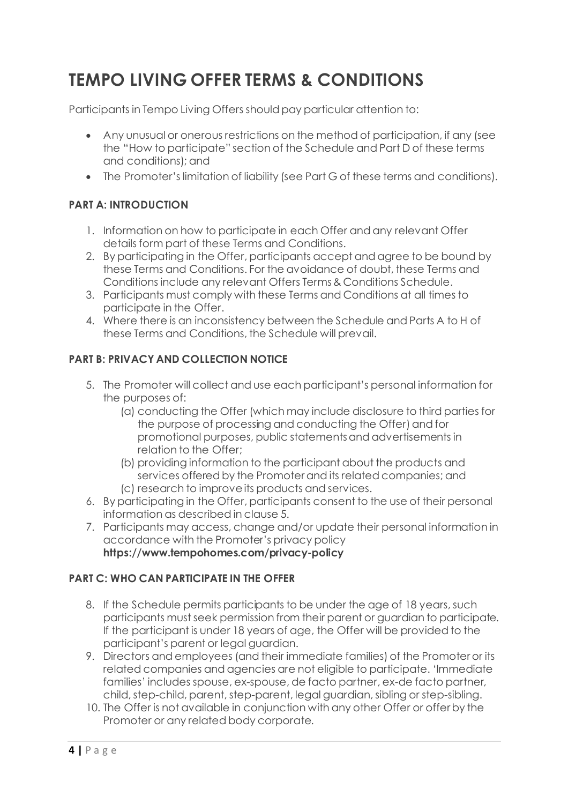# **TEMPO LIVING OFFER TERMS & CONDITIONS**

Participants in Tempo Living Offers should pay particular attention to:

- Any unusual or onerous restrictions on the method of participation, if any (see the "How to participate" section of the Schedule and Part D of these terms and conditions); and
- The Promoter's limitation of liability (see Part G of these terms and conditions).

### **PART A: INTRODUCTION**

- 1. Information on how to participate in each Offer and any relevant Offer details form part of these Terms and Conditions.
- 2. By participating in the Offer, participants accept and agree to be bound by these Terms and Conditions. For the avoidance of doubt, these Terms and Conditions include any relevant Offers Terms & Conditions Schedule.
- 3. Participants must comply with these Terms and Conditions at all times to participate in the Offer.
- 4. Where there is an inconsistency between the Schedule and Parts A to H of these Terms and Conditions, the Schedule will prevail.

### **PART B: PRIVACY AND COLLECTION NOTICE**

- 5. The Promoter will collect and use each participant's personal information for the purposes of:
	- (a) conducting the Offer (which may include disclosure to third parties for the purpose of processing and conducting the Offer) and for promotional purposes, public statements and advertisements in relation to the Offer;
	- (b) providing information to the participant about the products and services offered by the Promoter and its related companies; and (c) research to improve its products and services.
- 6. By participating in the Offer, participants consent to the use of their personal information as described in clause 5.
- 7. Participants may access, change and/or update their personal information in accordance with the Promoter's privacy policy **https://www.tempohomes.com/privacy-policy**

### **PART C: WHO CAN PARTICIPATE IN THE OFFER**

- 8. If the Schedule permits participants to be under the age of 18 years, such participants must seek permission from their parent or guardian to participate. If the participant is under 18 years of age, the Offer will be provided to the participant's parent or legal guardian.
- 9. Directors and employees (and their immediate families) of the Promoter or its related companies and agencies are not eligible to participate. 'Immediate families' includes spouse, ex-spouse, de facto partner, ex-de facto partner, child, step-child, parent, step-parent, legal guardian, sibling or step-sibling.
- 10. The Offer is not available in conjunction with any other Offer or offer by the Promoter or any related body corporate.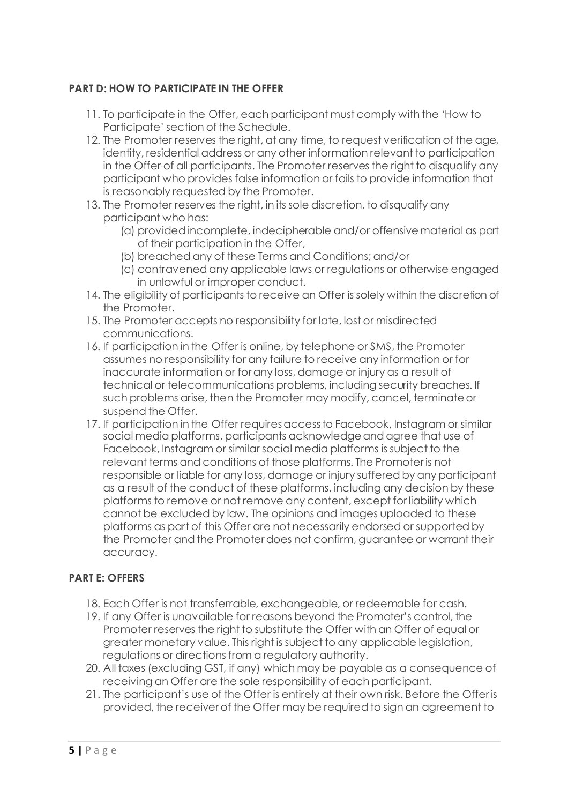### **PART D: HOW TO PARTICIPATE IN THE OFFER**

- 11. To participate in the Offer, each participant must comply with the 'How to Participate' section of the Schedule.
- 12. The Promoter reserves the right, at any time, to request verification of the age, identity, residential address or any other information relevant to participation in the Offer of all participants. The Promoter reserves the right to disqualify any participant who provides false information or fails to provide information that is reasonably requested by the Promoter.
- 13. The Promoter reserves the right, in its sole discretion, to disqualify any participant who has:
	- (a) provided incomplete, indecipherable and/or offensive material as part of their participation in the Offer,
	- (b) breached any of these Terms and Conditions; and/or
	- (c) contravened any applicable laws or regulations or otherwise engaged in unlawful or improper conduct.
- 14. The eligibility of participants to receive an Offer is solely within the discretion of the Promoter.
- 15. The Promoter accepts no responsibility for late, lost or misdirected communications.
- 16. If participation in the Offer is online, by telephone or SMS, the Promoter assumes no responsibility for any failure to receive any information or for inaccurate information or for any loss, damage or injury as a result of technical or telecommunications problems, including security breaches. If such problems arise, then the Promoter may modify, cancel, terminate or suspend the Offer.
- 17. If participation in the Offer requires access to Facebook, Instagram or similar social media platforms, participants acknowledge and agree that use of Facebook, Instagram or similar social media platforms is subject to the relevant terms and conditions of those platforms. The Promoter is not responsible or liable for any loss, damage or injury suffered by any participant as a result of the conduct of these platforms, including any decision by these platforms to remove or not remove any content, except for liability which cannot be excluded by law. The opinions and images uploaded to these platforms as part of this Offer are not necessarily endorsed or supported by the Promoter and the Promoter does not confirm, guarantee or warrant their accuracy.

### **PART E: OFFERS**

- 18. Each Offer is not transferrable, exchangeable, or redeemable for cash.
- 19. If any Offer is unavailable for reasons beyond the Promoter's control, the Promoter reserves the right to substitute the Offer with an Offer of equal or greater monetary value. This right is subject to any applicable legislation, regulations or directions from a regulatory authority.
- 20. All taxes (excluding GST, if any) which may be payable as a consequence of receiving an Offer are the sole responsibility of each participant.
- 21. The participant's use of the Offer is entirely at their own risk. Before the Offer is provided, the receiver of the Offer may be required to sign an agreement to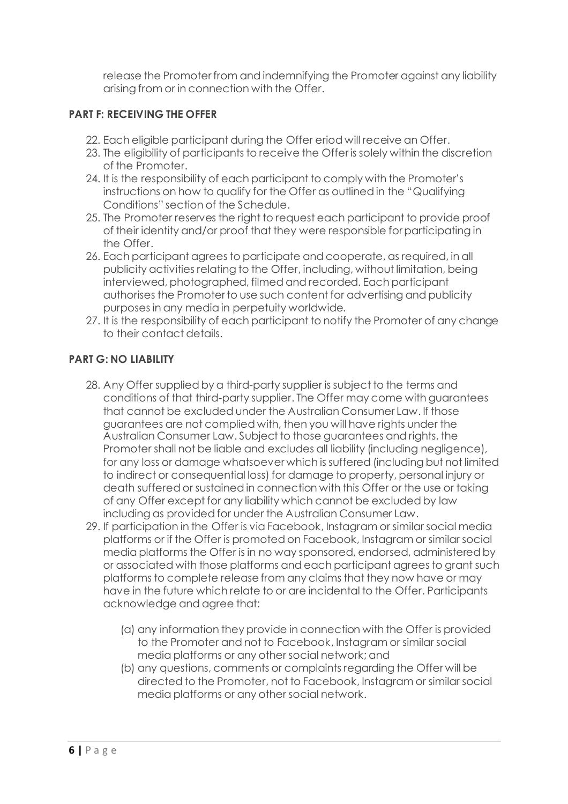release the Promoter from and indemnifying the Promoter against any liability arising from or in connection with the Offer.

### **PART F: RECEIVING THE OFFER**

- 22. Each eligible participant during the Offer eriod will receive an Offer.
- 23. The eligibility of participants to receive the Offer is solely within the discretion of the Promoter.
- 24. It is the responsibility of each participant to comply with the Promoter's instructions on how to qualify for the Offer as outlined in the "Qualifying Conditions" section of the Schedule.
- 25. The Promoter reserves the right to request each participant to provide proof of their identity and/or proof that they were responsible for participating in the Offer.
- 26. Each participant agrees to participate and cooperate, as required, in all publicity activities relating to the Offer, including, without limitation, being interviewed, photographed, filmed and recorded. Each participant authorises the Promoter to use such content for advertising and publicity purposes in any media in perpetuity worldwide.
- 27. It is the responsibility of each participant to notify the Promoter of any change to their contact details.

### **PART G: NO LIABILITY**

- 28. Any Offer supplied by a third-party supplier is subject to the terms and conditions of that third-party supplier. The Offer may come with guarantees that cannot be excluded under the Australian Consumer Law. If those guarantees are not complied with, then you will have rights under the Australian Consumer Law. Subject to those guarantees and rights, the Promoter shall not be liable and excludes all liability (including negligence), for any loss or damage whatsoever which is suffered (including but not limited to indirect or consequential loss) for damage to property, personal injury or death suffered or sustained in connection with this Offer or the use or taking of any Offer except for any liability which cannot be excluded by law including as provided for under the Australian Consumer Law.
- 29. If participation in the Offer is via Facebook, Instagram or similar social media platforms or if the Offer is promoted on Facebook, Instagram or similar social media platforms the Offer is in no way sponsored, endorsed, administered by or associated with those platforms and each participant agrees to grant such platforms to complete release from any claims that they now have or may have in the future which relate to or are incidental to the Offer. Participants acknowledge and agree that:
	- (a) any information they provide in connection with the Offer is provided to the Promoter and not to Facebook, Instagram or similar social media platforms or any other social network; and
	- (b) any questions, comments or complaints regarding the Offer will be directed to the Promoter, not to Facebook, Instagram or similar social media platforms or any other social network.